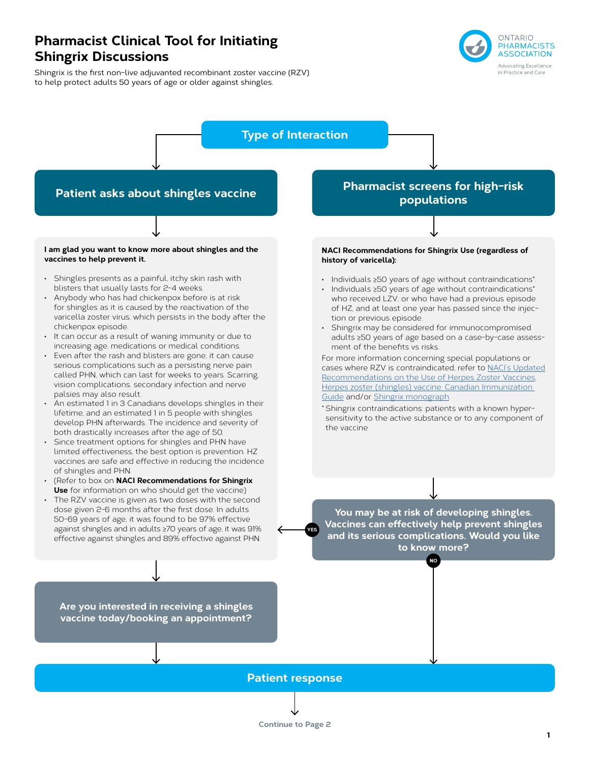# **Pharmacist Clinical Tool for Initiating Shingrix Discussions**

Shingrix is the first non-live adjuvanted recombinant zoster vaccine (RZV) to help protect adults 50 years of age or older against shingles.



# **Type of Interaction**

## **Patient asks about shingles vaccine**

**I am glad you want to know more about shingles and the vaccines to help prevent it.**

- Shingles presents as a painful, itchy skin rash with blisters that usually lasts for 2-4 weeks.
- Anybody who has had chickenpox before is at risk for shingles as it is caused by the reactivation of the varicella zoster virus, which persists in the body after the chickenpox episode.
- It can occur as a result of waning immunity or due to increasing age, medications or medical conditions.
- Even after the rash and blisters are gone, it can cause serious complications such as a persisting nerve pain called PHN, which can last for weeks to years. Scarring, vision complications, secondary infection and nerve palsies may also result.
- An estimated 1 in 3 Canadians develops shingles in their lifetime, and an estimated 1 in 5 people with shingles develop PHN afterwards. The incidence and severity of both drastically increases after the age of 50.
- Since treatment options for shingles and PHN have limited effectiveness, the best option is prevention. HZ vaccines are safe and effective in reducing the incidence of shingles and PHN.
- (Refer to box on **NACI Recommendations for Shingrix Use** for information on who should get the vaccine)
- The RZV vaccine is given as two doses with the second dose given 2-6 months after the first dose. In adults 50-69 years of age, it was found to be 97% effective against shingles and in adults ≥70 years of age, it was 91% effective against shingles and 89% effective against PHN.

# **Pharmacist screens for high-risk populations**

**NACI Recommendations for Shingrix Use (regardless of history of varicella):**

- Individuals ≥50 years of age without contraindications\*.
- Individuals ≥50 years of age without contraindications\* who received LZV, or who have had a previous episode of HZ, and at least one year has passed since the injection or previous episode.
- Shingrix may be considered for immunocompromised adults ≥50 years of age based on a case-by-case assessment of the benefits vs risks.

For more information concerning special populations or cases where RZV is contraindicated, refer to [NACI's Updated](https://www.canada.ca/en/services/health/publications/healthy-living/updated-recommendations-use-herpes-zoster-vaccines.html) [Recommendations on the Use of Herpes Zoster Vaccines,](https://www.canada.ca/en/services/health/publications/healthy-living/updated-recommendations-use-herpes-zoster-vaccines.html) [Herpes zoster \(shingles\) vaccine: Canadian Immunization](https://www.canada.ca/en/public-health/services/publications/healthy-living/canadian-immunization-guide-part-4-active-vaccines/page-8-herpes-zoster-(shingles)-vaccine.html)  [Guide](https://www.canada.ca/en/public-health/services/publications/healthy-living/canadian-immunization-guide-part-4-active-vaccines/page-8-herpes-zoster-(shingles)-vaccine.html) and/or [Shingrix monograph](https://ca.gsk.com/media/1350788/shingrix_pm-2017-10-13.pdf).

\* Shingrix contraindications: patients with a known hypersensitivity to the active substance or to any component of the vaccine

**You may be at risk of developing shingles. Vaccines can effectively help prevent shingles and its serious complications. Would you like to know more?**

**NO**

**Are you interested in receiving a shingles vaccine today/booking an appointment?** 

## **Patient response**

**YES**

**Continue to Page 2**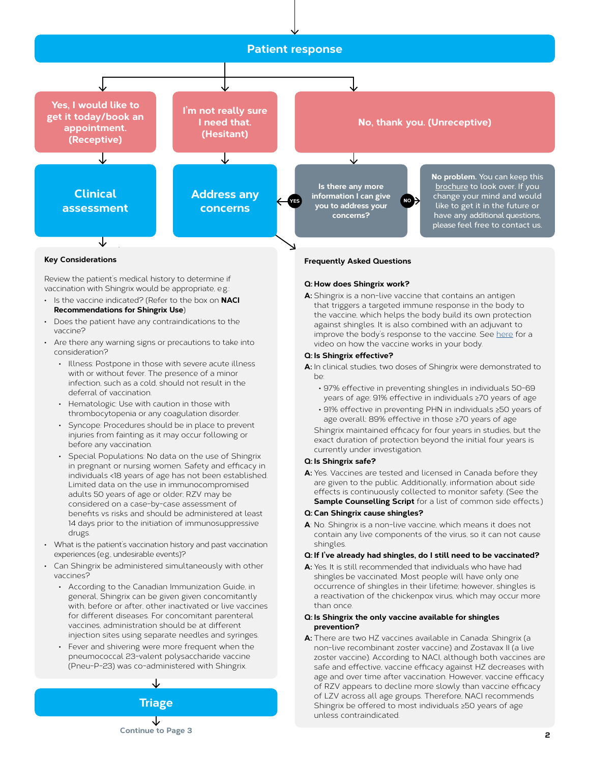

#### **Key Considerations**

Review the patient's medical history to determine if vaccination with Shingrix would be appropriate, e.g.:

- Is the vaccine indicated? (Refer to the box on **NACI Recommendations for Shingrix Use**)
- Does the patient have any contraindications to the vaccine?
- Are there any warning signs or precautions to take into consideration?
	- Illness: Postpone in those with severe acute illness with or without fever. The presence of a minor infection, such as a cold, should not result in the deferral of vaccination.
	- Hematologic: Use with caution in those with thrombocytopenia or any coagulation disorder.
	- Syncope: Procedures should be in place to prevent injuries from fainting as it may occur following or before any vaccination.
	- Special Populations: No data on the use of Shingrix in pregnant or nursing women. Safety and efficacy in individuals <18 years of age has not been established. Limited data on the use in immunocompromised adults 50 years of age or older; RZV may be considered on a case-by-case assessment of benefits vs risks and should be administered at least 14 days prior to the initiation of immunosuppressive drugs.
- What is the patient's vaccination history and past vaccination experiences (e.g., undesirable events)?
- Can Shingrix be administered simultaneously with other vaccines?
	- According to the Canadian Immunization Guide, in general, Shingrix can be given given concomitantly with, before or after, other inactivated or live vaccines for different diseases. For concomitant parenteral vaccines, administration should be at different injection sites using separate needles and syringes.
	- Fever and shivering were more frequent when the pneumococcal 23-valent polysaccharide vaccine (Pneu-P-23) was co-administered with Shingrix.



#### **Frequently Asked Questions**

#### **Q: How does Shingrix work?**

**A:** Shingrix is a non-live vaccine that contains an antigen that triggers a targeted immune response in the body to the vaccine, which helps the body build its own protection against shingles. It is also combined with an adjuvant to improve the body's response to the vaccine. See [here](https://shingrixhcp.com/efficacy-safety/mechanism-of-action/) for a video on how the vaccine works in your body.

#### **Q: Is Shingrix effective?**

**A:** In clinical studies, two doses of Shingrix were demonstrated to be:

- 97% effective in preventing shingles in individuals 50-69 years of age; 91% effective in individuals ≥70 years of age
- 91% effective in preventing PHN in individuals ≥50 years of age overall; 89% effective in those ≥70 years of age

Shingrix maintained efficacy for four years in studies, but the exact duration of protection beyond the initial four years is currently under investigation.

#### **Q: Is Shingrix safe?**

**A:** Yes. Vaccines are tested and licensed in Canada before they are given to the public. Additionally, information about side effects is continuously collected to monitor safety. (See the **Sample Counselling Script** for a list of common side effects.)

#### **Q: Can Shingrix cause shingles?**

**A**: No. Shingrix is a non-live vaccine, which means it does not contain any live components of the virus, so it can not cause shingles.

#### **Q: If I've already had shingles, do I still need to be vaccinated?**

**A:** Yes. It is still recommended that individuals who have had shingles be vaccinated. Most people will have only one occurrence of shingles in their lifetime; however, shingles is a reactivation of the chickenpox virus, which may occur more than once.

#### **Q: Is Shingrix the only vaccine available for shingles prevention?**

**A:** There are two HZ vaccines available in Canada: Shingrix (a non-live recombinant zoster vaccine) and Zostavax II (a live zoster vaccine). According to NACI, although both vaccines are safe and effective, vaccine efficacy against HZ decreases with age and over time after vaccination. However, vaccine efficacy of RZV appears to decline more slowly than vaccine efficacy of LZV across all age groups. Therefore, NACI recommends Shingrix be offered to most individuals ≥50 years of age unless contraindicated.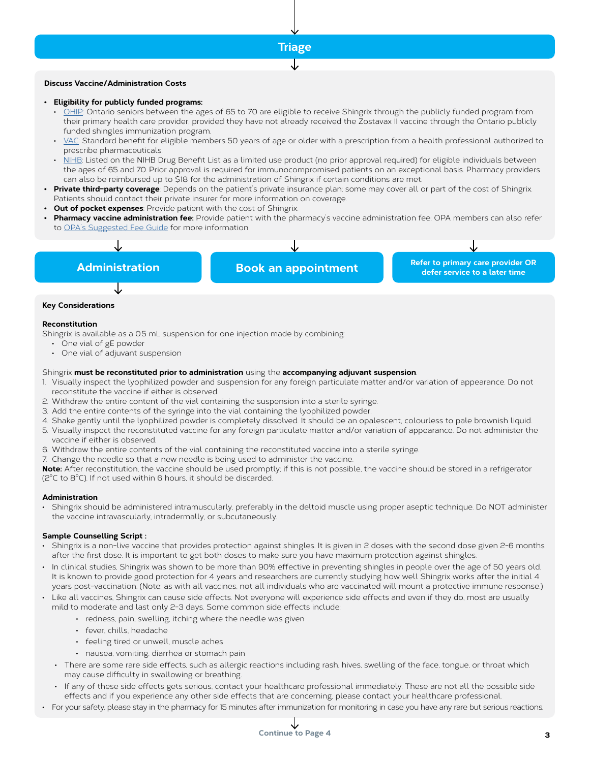

#### **Discuss Vaccine/Administration Costs**

#### **• Eligibility for publicly funded programs:**

- [OHIP](https://www.health.gov.on.ca/en/public/programs/immunization/docs/shingles_patient_fact_sheet_en.pdf): Ontario seniors between the ages of 65 to 70 are eligible to receive Shingrix through the publicly funded program from their primary health care provider, provided they have not already received the Zostavax II vaccine through the Ontario publicly funded shingles immunization program.
- [VAC:](https://www.veterans.gc.ca/eng/financial-support/medical-costs/treatment-benefits/poc10/search/form_detail/02468425) Standard benefit for eligible members 50 years of age or older with a prescription from a health professional authorized to prescribe pharmaceuticals.
- [NIHB](https://nihb.express-scripts.ca/NIHBProvider/benefits/pharmacy?page=pharmacy-bulletins&benefit=pharmacy): Listed on the NIHB Drug Benefit List as a limited use product (no prior approval required) for eligible individuals between the ages of 65 and 70. Prior approval is required for immunocompromised patients on an exceptional basis. Pharmacy providers can also be reimbursed up to \$18 for the administration of Shingrix if certain conditions are met.
- **• Private third-party coverage**: Depends on the patient's private insurance plan; some may cover all or part of the cost of Shingrix. Patients should contact their private insurer for more information on coverage.
- **Out of pocket expenses**: Provide patient with the cost of Shingrix.
- **• Pharmacy vaccine administration fee:** Provide patient with the pharmacy's vaccine administration fee; OPA members can also refer to [OPA's Suggested Fee Guide](https://opatoday.com/suggested-fee-guide/) for more information



#### **Key Considerations**

#### **Reconstitution**

Shingrix is available as a 0.5 mL suspension for one injection made by combining:

- One vial of gE powder
- One vial of adjuvant suspension

#### Shingrix **must be reconstituted prior to administration** using the **accompanying adjuvant suspension**.

- 1. Visually inspect the lyophilized powder and suspension for any foreign particulate matter and/or variation of appearance. Do not reconstitute the vaccine if either is observed.
- 2. Withdraw the entire content of the vial containing the suspension into a sterile syringe.
- 3. Add the entire contents of the syringe into the vial containing the lyophilized powder.
- 4. Shake gently until the lyophilized powder is completely dissolved. It should be an opalescent, colourless to pale brownish liquid.
- 5. Visually inspect the reconstituted vaccine for any foreign particulate matter and/or variation of appearance. Do not administer the vaccine if either is observed.
- 6. Withdraw the entire contents of the vial containing the reconstituted vaccine into a sterile syringe.
- 7. Change the needle so that a new needle is being used to administer the vaccine.

**Note:** After reconstitution, the vaccine should be used promptly; if this is not possible, the vaccine should be stored in a refrigerator (2°C to 8°C). If not used within 6 hours, it should be discarded.

#### **Administration**

• Shingrix should be administered intramuscularly, preferably in the deltoid muscle using proper aseptic technique. Do NOT administer the vaccine intravascularly, intradermally, or subcutaneously.

#### **Sample Counselling Script :**

- Shingrix is a non-live vaccine that provides protection against shingles. It is given in 2 doses with the second dose given 2-6 months after the first dose. It is important to get both doses to make sure you have maximum protection against shingles.
- In clinical studies, Shingrix was shown to be more than 90% effective in preventing shingles in people over the age of 50 years old. It is known to provide good protection for 4 years and researchers are currently studying how well Shingrix works after the initial 4 years post-vaccination. (Note: as with all vaccines, not all individuals who are vaccinated will mount a protective immune response.)
- Like all vaccines, Shingrix can cause side effects. Not everyone will experience side effects and even if they do, most are usually mild to moderate and last only 2-3 days. Some common side effects include:
	- redness, pain, swelling, itching where the needle was given
	- fever, chills, headache
	- feeling tired or unwell, muscle aches
	- nausea, vomiting, diarrhea or stomach pain
	- There are some rare side effects, such as allergic reactions including rash, hives, swelling of the face, tongue, or throat which may cause difficulty in swallowing or breathing.
	- If any of these side effects gets serious, contact your healthcare professional immediately. These are not all the possible side effects and if you experience any other side effects that are concerning, please contact your healthcare professional.
- For your safety, please stay in the pharmacy for 15 minutes after immunization for monitoring in case you have any rare but serious reactions.

# **Continue to Page 4**